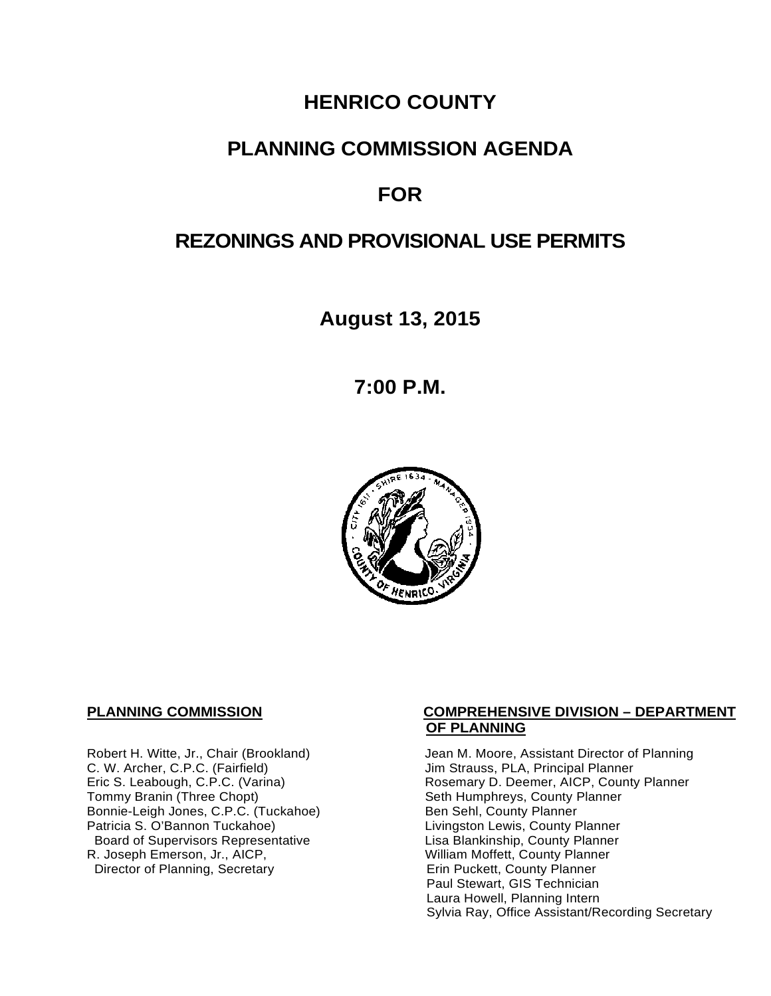# **HENRICO COUNTY**

## **PLANNING COMMISSION AGENDA**

# **FOR**

# **REZONINGS AND PROVISIONAL USE PERMITS**

**August 13, 2015**

**7:00 P.M.**



C. W. Archer, C.P.C. (Fairfield) and Summan Jim Strauss, PLA, Principal Planner<br>
Eric S. Leabough, C.P.C. (Varina) and Summan Rosemary D. Deemer, AICP, County Bonnie-Leigh Jones, C.P.C. (Tuckahoe)<br>Patricia S. O'Bannon Tuckahoe) Board of Supervisors Representative Fig. 2016 Lisa Blankinship, County Planner<br>Lisa Blankinship, County Planner (2008) Lisa Mortett, County Planner (2008) R. Joseph Emerson, Jr., AICP, William Moffett, County Planner<br>
Director of Planning, Secretary 
William Moffett, County Planner Director of Planning, Secretary

#### **PLANNING COMMISSION COMPREHENSIVE DIVISION – DEPARTMENT OF PLANNING**

Robert H. Witte, Jr., Chair (Brookland) Jean M. Moore, Assistant Director of Planning<br>C. W. Archer, C.P.C. (Fairfield) Jim Strauss, PLA, Principal Planner Eric S. Leabough, C.P.C. (Varina) <br>Tommy Branin (Three Chopt) **Reading State State Seth Humphreys, County Planner** Commy Planner Seth Humphreys, County Planner<br>Ben Sehl, County Planner Livingston Lewis, County Planner Paul Stewart, GIS Technician Laura Howell, Planning Intern Sylvia Ray, Office Assistant/Recording Secretary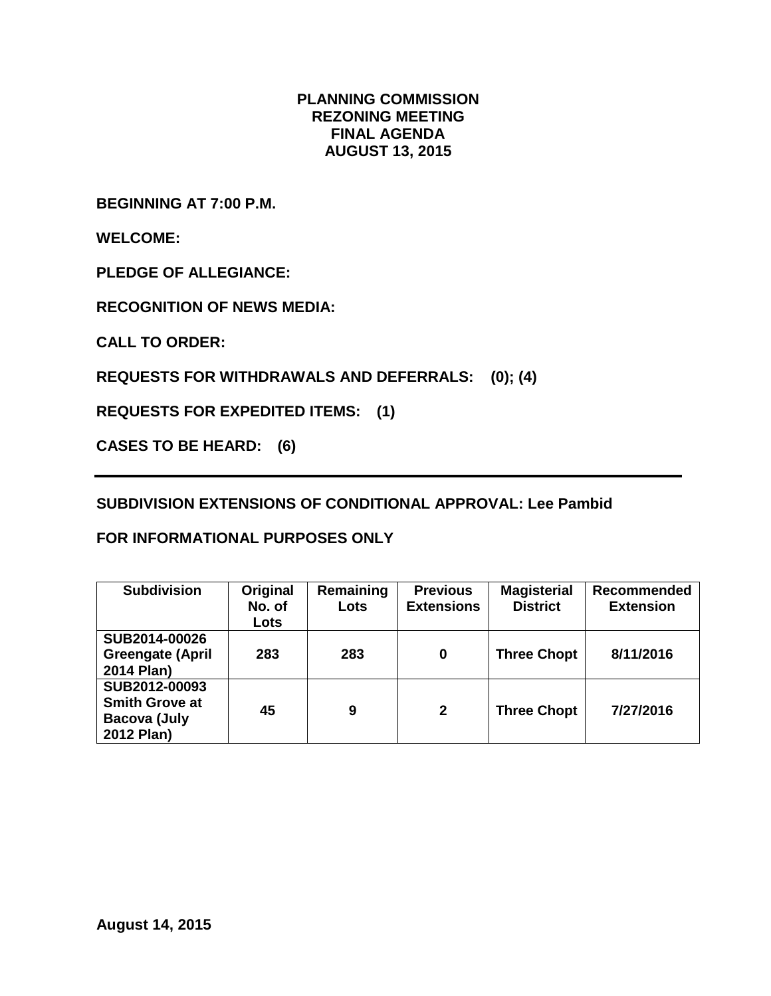#### **PLANNING COMMISSION REZONING MEETING FINAL AGENDA AUGUST 13, 2015**

**BEGINNING AT 7:00 P.M.**

**WELCOME:**

**PLEDGE OF ALLEGIANCE:**

**RECOGNITION OF NEWS MEDIA:**

**CALL TO ORDER:**

**REQUESTS FOR WITHDRAWALS AND DEFERRALS: (0); (4)**

**REQUESTS FOR EXPEDITED ITEMS: (1)**

**CASES TO BE HEARD: (6)**

**SUBDIVISION EXTENSIONS OF CONDITIONAL APPROVAL: Lee Pambid**

### **FOR INFORMATIONAL PURPOSES ONLY**

| <b>Subdivision</b>                                                          | Original<br>No. of<br>Lots | Remaining<br>Lots | <b>Previous</b><br><b>Extensions</b> | <b>Magisterial</b><br><b>District</b> | Recommended<br><b>Extension</b> |
|-----------------------------------------------------------------------------|----------------------------|-------------------|--------------------------------------|---------------------------------------|---------------------------------|
| SUB2014-00026<br><b>Greengate (April</b><br>2014 Plan)                      | 283                        | 283               | 0                                    | <b>Three Chopt</b>                    | 8/11/2016                       |
| SUB2012-00093<br><b>Smith Grove at</b><br><b>Bacova (July</b><br>2012 Plan) | 45                         | 9                 | $\mathbf{2}$                         | <b>Three Chopt</b>                    | 7/27/2016                       |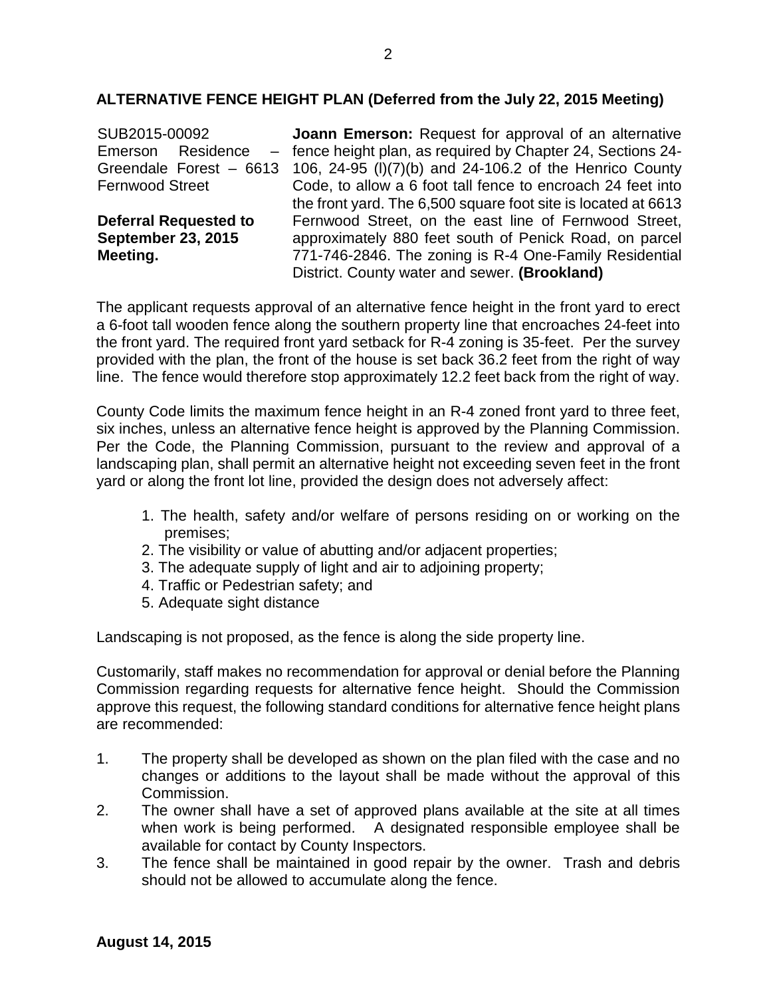#### **ALTERNATIVE FENCE HEIGHT PLAN (Deferred from the July 22, 2015 Meeting)**

| SUB2015-00092                | <b>Joann Emerson:</b> Request for approval of an alternative  |
|------------------------------|---------------------------------------------------------------|
| Residence<br>Emerson         | - fence height plan, as required by Chapter 24, Sections 24-  |
| Greendale Forest - 6613      | 106, 24-95 (I)(7)(b) and 24-106.2 of the Henrico County       |
| <b>Fernwood Street</b>       | Code, to allow a 6 foot tall fence to encroach 24 feet into   |
|                              | the front yard. The 6,500 square foot site is located at 6613 |
| <b>Deferral Requested to</b> | Fernwood Street, on the east line of Fernwood Street,         |
| <b>September 23, 2015</b>    | approximately 880 feet south of Penick Road, on parcel        |
| Meeting.                     | 771-746-2846. The zoning is R-4 One-Family Residential        |
|                              | District. County water and sewer. (Brookland)                 |

The applicant requests approval of an alternative fence height in the front yard to erect a 6-foot tall wooden fence along the southern property line that encroaches 24-feet into the front yard. The required front yard setback for R-4 zoning is 35-feet. Per the survey provided with the plan, the front of the house is set back 36.2 feet from the right of way line. The fence would therefore stop approximately 12.2 feet back from the right of way.

County Code limits the maximum fence height in an R-4 zoned front yard to three feet, six inches, unless an alternative fence height is approved by the Planning Commission. Per the Code, the Planning Commission, pursuant to the review and approval of a landscaping plan, shall permit an alternative height not exceeding seven feet in the front yard or along the front lot line, provided the design does not adversely affect:

- 1. The health, safety and/or welfare of persons residing on or working on the premises;
- 2. The visibility or value of abutting and/or adjacent properties;
- 3. The adequate supply of light and air to adjoining property;
- 4. Traffic or Pedestrian safety; and
- 5. Adequate sight distance

Landscaping is not proposed, as the fence is along the side property line.

Customarily, staff makes no recommendation for approval or denial before the Planning Commission regarding requests for alternative fence height. Should the Commission approve this request, the following standard conditions for alternative fence height plans are recommended:

- 1. The property shall be developed as shown on the plan filed with the case and no changes or additions to the layout shall be made without the approval of this Commission.
- 2. The owner shall have a set of approved plans available at the site at all times when work is being performed. A designated responsible employee shall be available for contact by County Inspectors.
- 3. The fence shall be maintained in good repair by the owner. Trash and debris should not be allowed to accumulate along the fence.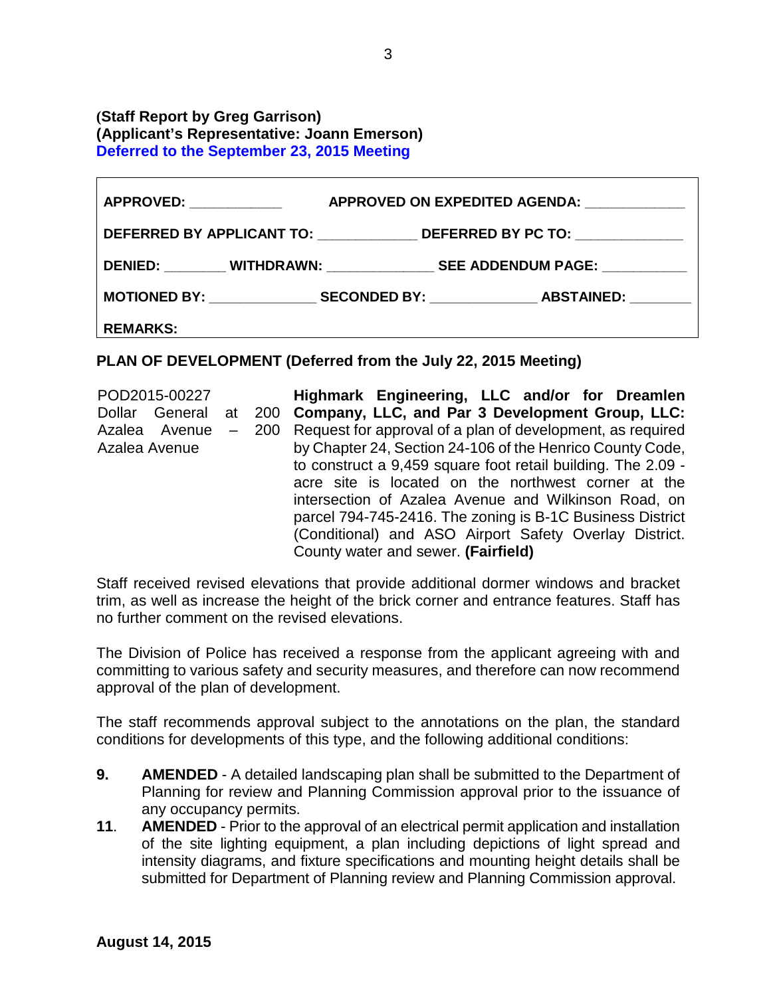#### **(Staff Report by Greg Garrison) (Applicant's Representative: Joann Emerson) Deferred to the September 23, 2015 Meeting**

| <b>APPROVED:</b> APPROVED: | APPROVED ON EXPEDITED AGENDA:                                                    |  |
|----------------------------|----------------------------------------------------------------------------------|--|
|                            | DEFERRED BY APPLICANT TO: ________________DEFERRED BY PC TO: ___________________ |  |
|                            |                                                                                  |  |
|                            |                                                                                  |  |
| <b>REMARKS:</b>            |                                                                                  |  |

#### **PLAN OF DEVELOPMENT (Deferred from the July 22, 2015 Meeting)**

POD2015-00227 Dollar General at 200 **Company, LLC, and Par 3 Development Group, LLC:**  Azalea Avenue – 200 Request for approval of a plan of development, as required Azalea Avenue **Highmark Engineering, LLC and/or for Dreamlen**  by Chapter 24, Section 24-106 of the Henrico County Code, to construct a 9,459 square foot retail building. The 2.09 acre site is located on the northwest corner at the intersection of Azalea Avenue and Wilkinson Road, on parcel 794-745-2416. The zoning is B-1C Business District (Conditional) and ASO Airport Safety Overlay District. County water and sewer. **(Fairfield)**

Staff received revised elevations that provide additional dormer windows and bracket trim, as well as increase the height of the brick corner and entrance features. Staff has no further comment on the revised elevations.

The Division of Police has received a response from the applicant agreeing with and committing to various safety and security measures, and therefore can now recommend approval of the plan of development.

The staff recommends approval subject to the annotations on the plan, the standard conditions for developments of this type, and the following additional conditions:

- **9. AMENDED** A detailed landscaping plan shall be submitted to the Department of Planning for review and Planning Commission approval prior to the issuance of any occupancy permits.
- **11**. **AMENDED** Prior to the approval of an electrical permit application and installation of the site lighting equipment, a plan including depictions of light spread and intensity diagrams, and fixture specifications and mounting height details shall be submitted for Department of Planning review and Planning Commission approval.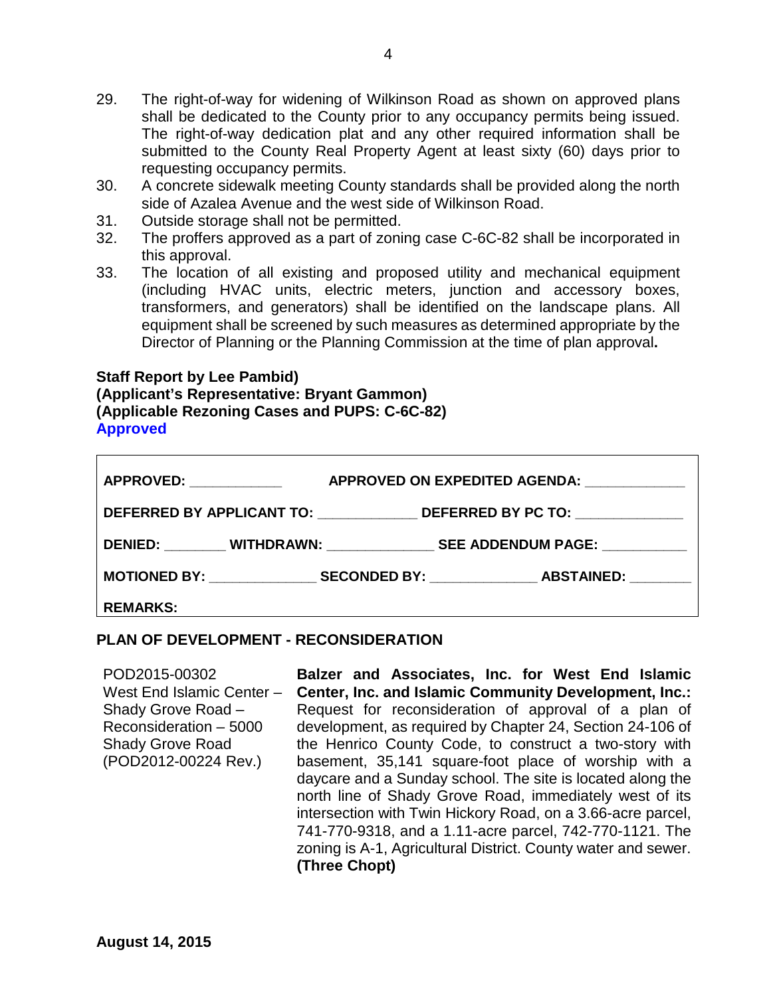- 29. The right-of-way for widening of Wilkinson Road as shown on approved plans shall be dedicated to the County prior to any occupancy permits being issued. The right-of-way dedication plat and any other required information shall be submitted to the County Real Property Agent at least sixty (60) days prior to requesting occupancy permits.
- 30. A concrete sidewalk meeting County standards shall be provided along the north side of Azalea Avenue and the west side of Wilkinson Road.
- 31. Outside storage shall not be permitted.
- 32. The proffers approved as a part of zoning case C-6C-82 shall be incorporated in this approval.
- 33. The location of all existing and proposed utility and mechanical equipment (including HVAC units, electric meters, junction and accessory boxes, transformers, and generators) shall be identified on the landscape plans. All equipment shall be screened by such measures as determined appropriate by the Director of Planning or the Planning Commission at the time of plan approval**.**

#### **Staff Report by Lee Pambid)**

**(Applicant's Representative: Bryant Gammon) (Applicable Rezoning Cases and PUPS: C-6C-82) Approved**

| <b>APPROVED:</b> APPROVED:                   |  | APPROVED ON EXPEDITED AGENDA:                                                           |  |
|----------------------------------------------|--|-----------------------------------------------------------------------------------------|--|
| DEFERRED BY APPLICANT TO: DEFERRED BY PC TO: |  |                                                                                         |  |
|                                              |  | DENIED: ________ WITHDRAWN: _______________ SEE ADDENDUM PAGE: __________               |  |
|                                              |  | MOTIONED BY: _______________________ SECONDED BY: _________________ ABSTAINED: ________ |  |
| <b>REMARKS:</b>                              |  |                                                                                         |  |

#### **PLAN OF DEVELOPMENT - RECONSIDERATION**

POD2015-00302 West End Islamic Center – Shady Grove Road – Reconsideration – 5000 Shady Grove Road (POD2012-00224 Rev.) **Balzer and Associates, Inc. for West End Islamic Center, Inc. and Islamic Community Development, Inc.:**  Request for reconsideration of approval of a plan of development, as required by Chapter 24, Section 24-106 of the Henrico County Code, to construct a two-story with basement, 35,141 square-foot place of worship with a daycare and a Sunday school. The site is located along the north line of Shady Grove Road, immediately west of its intersection with Twin Hickory Road, on a 3.66-acre parcel, 741-770-9318, and a 1.11-acre parcel, 742-770-1121. The zoning is A-1, Agricultural District. County water and sewer. **(Three Chopt)**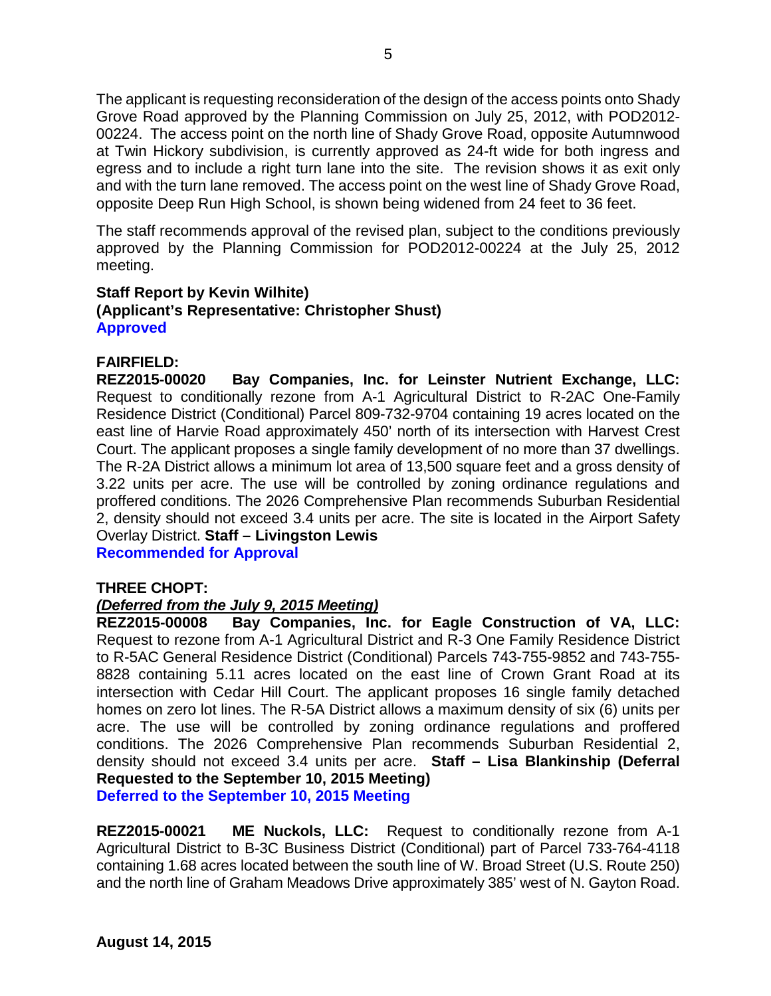The applicant is requesting reconsideration of the design of the access points onto Shady Grove Road approved by the Planning Commission on July 25, 2012, with POD2012- 00224. The access point on the north line of Shady Grove Road, opposite Autumnwood at Twin Hickory subdivision, is currently approved as 24-ft wide for both ingress and egress and to include a right turn lane into the site. The revision shows it as exit only and with the turn lane removed. The access point on the west line of Shady Grove Road, opposite Deep Run High School, is shown being widened from 24 feet to 36 feet.

The staff recommends approval of the revised plan, subject to the conditions previously approved by the Planning Commission for POD2012-00224 at the July 25, 2012 meeting.

#### **Staff Report by Kevin Wilhite) (Applicant's Representative: Christopher Shust) Approved**

#### **FAIRFIELD:**

**REZ2015-00020 Bay Companies, Inc. for Leinster Nutrient Exchange, LLC:** Request to conditionally rezone from A-1 Agricultural District to R-2AC One-Family Residence District (Conditional) Parcel 809-732-9704 containing 19 acres located on the east line of Harvie Road approximately 450' north of its intersection with Harvest Crest Court. The applicant proposes a single family development of no more than 37 dwellings. The R-2A District allows a minimum lot area of 13,500 square feet and a gross density of 3.22 units per acre. The use will be controlled by zoning ordinance regulations and proffered conditions. The 2026 Comprehensive Plan recommends Suburban Residential 2, density should not exceed 3.4 units per acre. The site is located in the Airport Safety Overlay District. **Staff – Livingston Lewis**

**Recommended for Approval**

#### **THREE CHOPT:**

#### *(Deferred from the July 9, 2015 Meeting)*

**REZ2015-00008 Bay Companies, Inc. for Eagle Construction of VA, LLC:**  Request to rezone from A-1 Agricultural District and R-3 One Family Residence District to R-5AC General Residence District (Conditional) Parcels 743-755-9852 and 743-755- 8828 containing 5.11 acres located on the east line of Crown Grant Road at its intersection with Cedar Hill Court. The applicant proposes 16 single family detached homes on zero lot lines. The R-5A District allows a maximum density of six (6) units per acre. The use will be controlled by zoning ordinance regulations and proffered conditions. The 2026 Comprehensive Plan recommends Suburban Residential 2, density should not exceed 3.4 units per acre. **Staff – Lisa Blankinship (Deferral Requested to the September 10, 2015 Meeting)**

**Deferred to the September 10, 2015 Meeting**

**REZ2015-00021 ME Nuckols, LLC:** Request to conditionally rezone from A-1 Agricultural District to B-3C Business District (Conditional) part of Parcel 733-764-4118 containing 1.68 acres located between the south line of W. Broad Street (U.S. Route 250) and the north line of Graham Meadows Drive approximately 385' west of N. Gayton Road.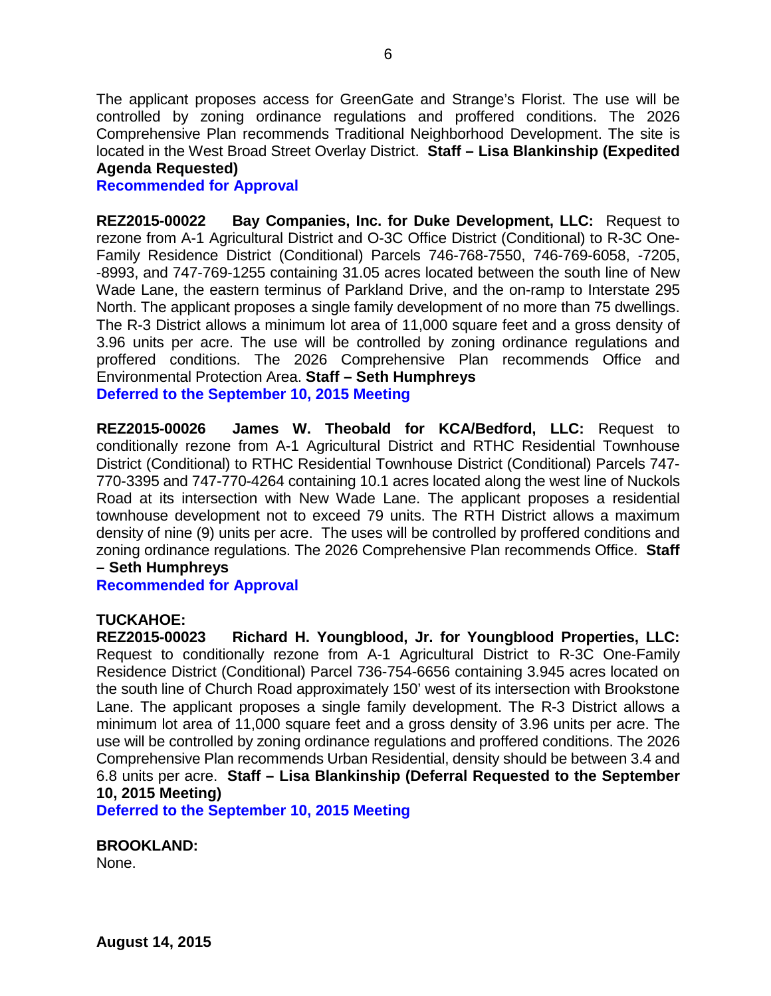The applicant proposes access for GreenGate and Strange's Florist. The use will be controlled by zoning ordinance regulations and proffered conditions. The 2026 Comprehensive Plan recommends Traditional Neighborhood Development. The site is located in the West Broad Street Overlay District. **Staff – Lisa Blankinship (Expedited Agenda Requested)**

#### **Recommended for Approval**

**REZ2015-00022 Bay Companies, Inc. for Duke Development, LLC:** Request to rezone from A-1 Agricultural District and O-3C Office District (Conditional) to R-3C One-Family Residence District (Conditional) Parcels 746-768-7550, 746-769-6058, -7205, -8993, and 747-769-1255 containing 31.05 acres located between the south line of New Wade Lane, the eastern terminus of Parkland Drive, and the on-ramp to Interstate 295 North. The applicant proposes a single family development of no more than 75 dwellings. The R-3 District allows a minimum lot area of 11,000 square feet and a gross density of 3.96 units per acre. The use will be controlled by zoning ordinance regulations and proffered conditions. The 2026 Comprehensive Plan recommends Office and Environmental Protection Area. **Staff – Seth Humphreys Deferred to the September 10, 2015 Meeting**

**REZ2015-00026 James W. Theobald for KCA/Bedford, LLC:** Request to conditionally rezone from A-1 Agricultural District and RTHC Residential Townhouse District (Conditional) to RTHC Residential Townhouse District (Conditional) Parcels 747- 770-3395 and 747-770-4264 containing 10.1 acres located along the west line of Nuckols Road at its intersection with New Wade Lane. The applicant proposes a residential townhouse development not to exceed 79 units. The RTH District allows a maximum density of nine (9) units per acre. The uses will be controlled by proffered conditions and zoning ordinance regulations. The 2026 Comprehensive Plan recommends Office. **Staff** 

### **– Seth Humphreys**

**Recommended for Approval**

# **TUCKAHOE:**

**Richard H. Youngblood, Jr. for Youngblood Properties, LLC:** Request to conditionally rezone from A-1 Agricultural District to R-3C One-Family Residence District (Conditional) Parcel 736-754-6656 containing 3.945 acres located on the south line of Church Road approximately 150' west of its intersection with Brookstone Lane. The applicant proposes a single family development. The R-3 District allows a minimum lot area of 11,000 square feet and a gross density of 3.96 units per acre. The use will be controlled by zoning ordinance regulations and proffered conditions. The 2026 Comprehensive Plan recommends Urban Residential, density should be between 3.4 and 6.8 units per acre. **Staff – Lisa Blankinship (Deferral Requested to the September 10, 2015 Meeting)**

**Deferred to the September 10, 2015 Meeting**

**BROOKLAND:** 

None.